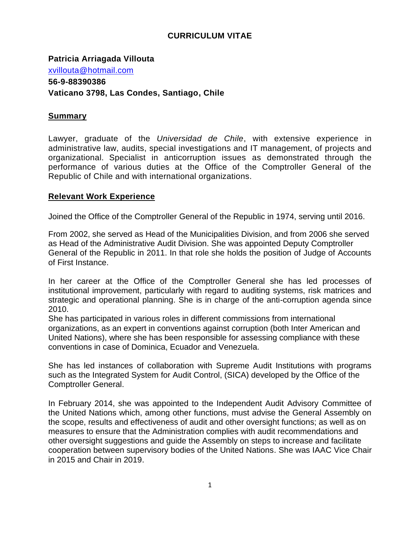## **CURRICULUM VITAE**

**Patricia Arriagada Villouta** [xvillouta@hotmail.com](mailto:xvillouta@hotmail.com) **56-9-88390386 Vaticano 3798, Las Condes, Santiago, Chile**

#### **Summary**

Lawyer, graduate of the *Universidad de Chile*, with extensive experience in administrative law, audits, special investigations and IT management, of projects and organizational. Specialist in anticorruption issues as demonstrated through the performance of various duties at the Office of the Comptroller General of the Republic of Chile and with international organizations.

### **Relevant Work Experience**

Joined the Office of the Comptroller General of the Republic in 1974, serving until 2016.

From 2002, she served as Head of the Municipalities Division, and from 2006 she served as Head of the Administrative Audit Division. She was appointed Deputy Comptroller General of the Republic in 2011. In that role she holds the position of Judge of Accounts of First Instance.

In her career at the Office of the Comptroller General she has led processes of institutional improvement, particularly with regard to auditing systems, risk matrices and strategic and operational planning. She is in charge of the anti-corruption agenda since 2010.

She has participated in various roles in different commissions from international organizations, as an expert in conventions against corruption (both Inter American and United Nations), where she has been responsible for assessing compliance with these conventions in case of Dominica, Ecuador and Venezuela.

She has led instances of collaboration with Supreme Audit Institutions with programs such as the Integrated System for Audit Control, (SICA) developed by the Office of the Comptroller General.

In February 2014, she was appointed to the Independent Audit Advisory Committee of the United Nations which, among other functions, must advise the General Assembly on the scope, results and effectiveness of audit and other oversight functions; as well as on measures to ensure that the Administration complies with audit recommendations and other oversight suggestions and guide the Assembly on steps to increase and facilitate cooperation between supervisory bodies of the United Nations. She was IAAC Vice Chair in 2015 and Chair in 2019.